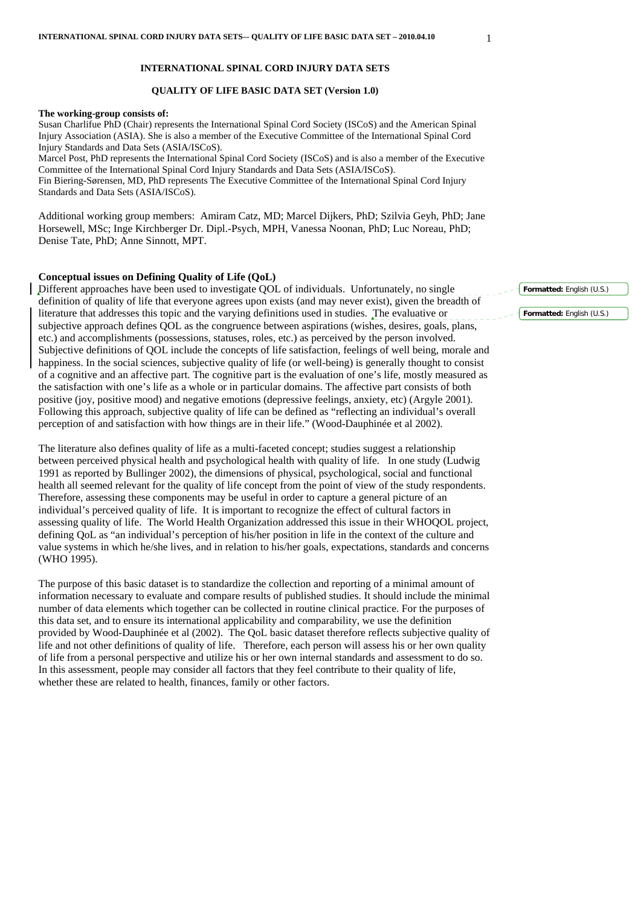#### **INTERNATIONAL SPINAL CORD INJURY DATA SETS**

## **QUALITY OF LIFE BASIC DATA SET (Version 1.0)**

### **The working-group consists of:**

Susan Charlifue PhD (Chair) represents the International Spinal Cord Society (ISCoS) and the American Spinal Injury Association (ASIA). She is also a member of the Executive Committee of the International Spinal Cord Injury Standards and Data Sets (ASIA/ISCoS). Marcel Post, PhD represents the International Spinal Cord Society (ISCoS) and is also a member of the Executive Committee of the International Spinal Cord Injury Standards and Data Sets (ASIA/ISCoS).

Fin Biering-Sørensen, MD, PhD represents The Executive Committee of the International Spinal Cord Injury Standards and Data Sets (ASIA/ISCoS).

Additional working group members: Amiram Catz, MD; Marcel Dijkers, PhD; Szilvia Geyh, PhD; Jane Horsewell, MSc; Inge Kirchberger Dr. Dipl.-Psych, MPH, Vanessa Noonan, PhD; Luc Noreau, PhD; Denise Tate, PhD; Anne Sinnott, MPT.

### **Conceptual issues on Defining Quality of Life (QoL)**

Different approaches have been used to investigate QOL of individuals. Unfortunately, no single definition of quality of life that everyone agrees upon exists (and may never exist), given the breadth of literature that addresses this topic and the varying definitions used in studies. The evaluative or subjective approach defines QOL as the congruence between aspirations (wishes, desires, goals, plans, etc.) and accomplishments (possessions, statuses, roles, etc.) as perceived by the person involved. Subjective definitions of QOL include the concepts of life satisfaction, feelings of well being, morale and happiness. In the social sciences, subjective quality of life (or well-being) is generally thought to consist of a cognitive and an affective part. The cognitive part is the evaluation of one's life, mostly measured as the satisfaction with one's life as a whole or in particular domains. The affective part consists of both positive (joy, positive mood) and negative emotions (depressive feelings, anxiety, etc) (Argyle 2001). Following this approach, subjective quality of life can be defined as "reflecting an individual's overall perception of and satisfaction with how things are in their life." (Wood-Dauphinée et al 2002).

The literature also defines quality of life as a multi-faceted concept; studies suggest a relationship between perceived physical health and psychological health with quality of life. In one study (Ludwig 1991 as reported by Bullinger 2002), the dimensions of physical, psychological, social and functional health all seemed relevant for the quality of life concept from the point of view of the study respondents. Therefore, assessing these components may be useful in order to capture a general picture of an individual's perceived quality of life. It is important to recognize the effect of cultural factors in assessing quality of life. The World Health Organization addressed this issue in their WHOQOL project, defining QoL as "an individual's perception of his/her position in life in the context of the culture and value systems in which he/she lives, and in relation to his/her goals, expectations, standards and concerns (WHO 1995).

The purpose of this basic dataset is to standardize the collection and reporting of a minimal amount of information necessary to evaluate and compare results of published studies. It should include the minimal number of data elements which together can be collected in routine clinical practice. For the purposes of this data set, and to ensure its international applicability and comparability, we use the definition provided by Wood-Dauphinée et al (2002). The QoL basic dataset therefore reflects subjective quality of life and not other definitions of quality of life. Therefore, each person will assess his or her own quality of life from a personal perspective and utilize his or her own internal standards and assessment to do so. In this assessment, people may consider all factors that they feel contribute to their quality of life, whether these are related to health, finances, family or other factors.

**Formatted:** English (U.S.)

**Formatted:** English (U.S.)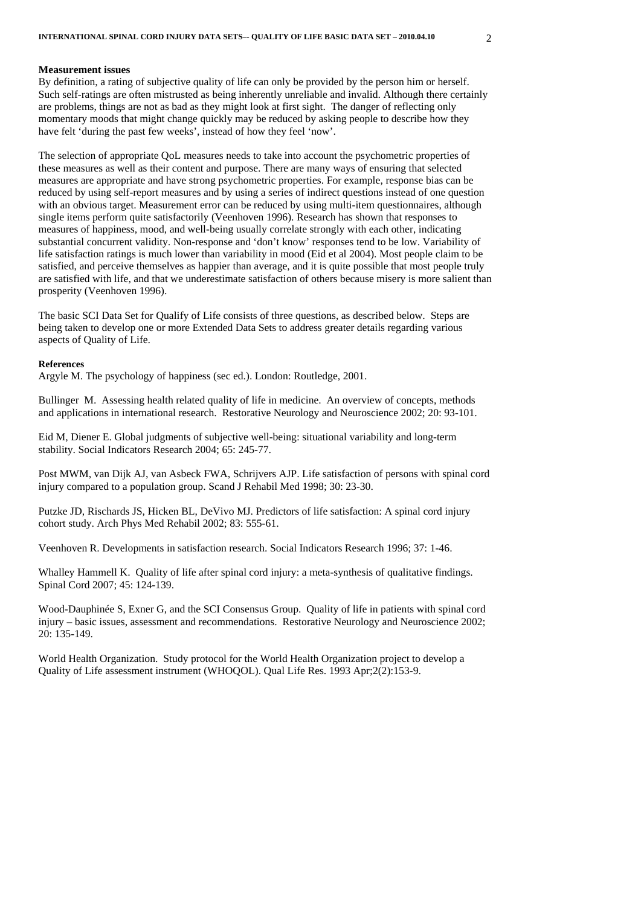### **Measurement issues**

By definition, a rating of subjective quality of life can only be provided by the person him or herself. Such self-ratings are often mistrusted as being inherently unreliable and invalid. Although there certainly are problems, things are not as bad as they might look at first sight. The danger of reflecting only momentary moods that might change quickly may be reduced by asking people to describe how they have felt 'during the past few weeks', instead of how they feel 'now'.

The selection of appropriate QoL measures needs to take into account the psychometric properties of these measures as well as their content and purpose. There are many ways of ensuring that selected measures are appropriate and have strong psychometric properties. For example, response bias can be reduced by using self-report measures and by using a series of indirect questions instead of one question with an obvious target. Measurement error can be reduced by using multi-item questionnaires, although single items perform quite satisfactorily (Veenhoven 1996). Research has shown that responses to measures of happiness, mood, and well-being usually correlate strongly with each other, indicating substantial concurrent validity. Non-response and 'don't know' responses tend to be low. Variability of life satisfaction ratings is much lower than variability in mood (Eid et al 2004). Most people claim to be satisfied, and perceive themselves as happier than average, and it is quite possible that most people truly are satisfied with life, and that we underestimate satisfaction of others because misery is more salient than prosperity (Veenhoven 1996).

The basic SCI Data Set for Qualify of Life consists of three questions, as described below. Steps are being taken to develop one or more Extended Data Sets to address greater details regarding various aspects of Quality of Life.

#### **References**

Argyle M. The psychology of happiness (sec ed.). London: Routledge, 2001.

Bullinger M. Assessing health related quality of life in medicine. An overview of concepts, methods and applications in international research. Restorative Neurology and Neuroscience 2002; 20: 93-101.

Eid M, Diener E. Global judgments of subjective well-being: situational variability and long-term stability. Social Indicators Research 2004; 65: 245-77.

Post MWM, van Dijk AJ, van Asbeck FWA, Schrijvers AJP. Life satisfaction of persons with spinal cord injury compared to a population group. Scand J Rehabil Med 1998; 30: 23-30.

Putzke JD, Rischards JS, Hicken BL, DeVivo MJ. Predictors of life satisfaction: A spinal cord injury cohort study. Arch Phys Med Rehabil 2002; 83: 555-61.

Veenhoven R. Developments in satisfaction research. Social Indicators Research 1996; 37: 1-46.

Whalley Hammell K. Quality of life after spinal cord injury: a meta-synthesis of qualitative findings. Spinal Cord 2007; 45: 124-139.

Wood-Dauphinée S, Exner G, and the SCI Consensus Group. Quality of life in patients with spinal cord injury – basic issues, assessment and recommendations. Restorative Neurology and Neuroscience 2002; 20: 135-149.

World Health Organization. Study protocol for the World Health Organization project to develop a Quality of Life assessment instrument (WHOQOL). Qual Life Res. 1993 Apr;2(2):153-9.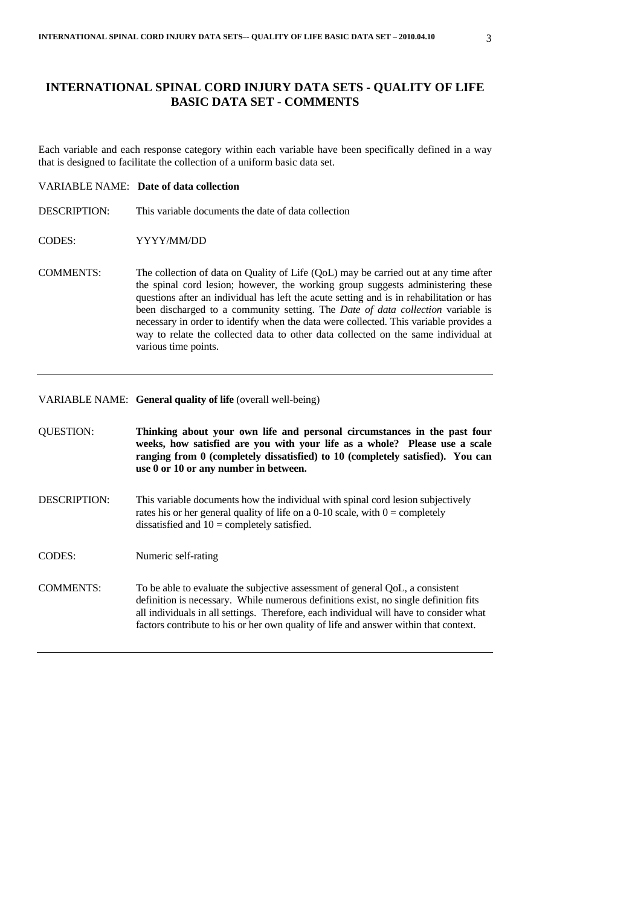# **INTERNATIONAL SPINAL CORD INJURY DATA SETS - QUALITY OF LIFE BASIC DATA SET - COMMENTS**

Each variable and each response category within each variable have been specifically defined in a way that is designed to facilitate the collection of a uniform basic data set.

# VARIABLE NAME: **Date of data collection**

- DESCRIPTION: This variable documents the date of data collection
- CODES: YYYY/MM/DD
- COMMENTS: The collection of data on Quality of Life (QoL) may be carried out at any time after the spinal cord lesion; however, the working group suggests administering these questions after an individual has left the acute setting and is in rehabilitation or has been discharged to a community setting. The *Date of data collection* variable is necessary in order to identify when the data were collected. This variable provides a way to relate the collected data to other data collected on the same individual at various time points.

# VARIABLE NAME: **General quality of life** (overall well-being)

| <b>QUESTION:</b>    | Thinking about your own life and personal circumstances in the past four<br>weeks, how satisfied are you with your life as a whole? Please use a scale<br>ranging from 0 (completely dissatisfied) to 10 (completely satisfied). You can<br>use 0 or 10 or any number in between.                                                                       |
|---------------------|---------------------------------------------------------------------------------------------------------------------------------------------------------------------------------------------------------------------------------------------------------------------------------------------------------------------------------------------------------|
| <b>DESCRIPTION:</b> | This variable documents how the individual with spinal cord lesion subjectively<br>rates his or her general quality of life on a 0-10 scale, with $0 =$ completely<br>dissatisfied and $10 =$ completely satisfied.                                                                                                                                     |
| CODES:              | Numeric self-rating                                                                                                                                                                                                                                                                                                                                     |
| <b>COMMENTS:</b>    | To be able to evaluate the subjective assessment of general QoL, a consistent<br>definition is necessary. While numerous definitions exist, no single definition fits<br>all individuals in all settings. Therefore, each individual will have to consider what<br>factors contribute to his or her own quality of life and answer within that context. |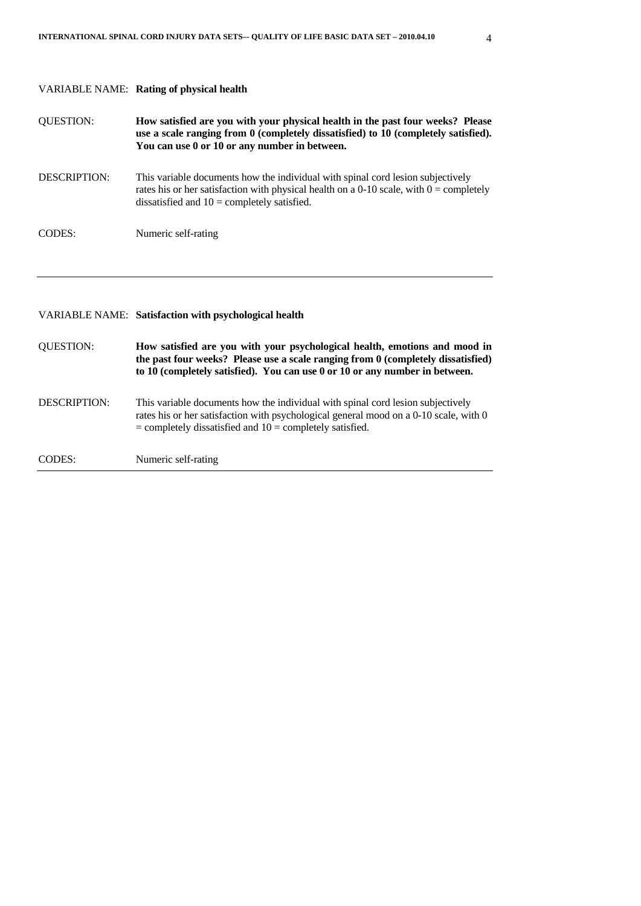|                     | <b>VARIABLE NAME:</b> Rating of physical health                                                                                                                                                                                               |
|---------------------|-----------------------------------------------------------------------------------------------------------------------------------------------------------------------------------------------------------------------------------------------|
| <b>QUESTION:</b>    | How satisfied are you with your physical health in the past four weeks? Please<br>use a scale ranging from 0 (completely dissatisfied) to 10 (completely satisfied).<br>You can use 0 or 10 or any number in between.                         |
| DESCRIPTION:        | This variable documents how the individual with spinal cord lesion subjectively<br>rates his or her satisfaction with physical health on a 0-10 scale, with $0 =$ completely<br>dissatisfied and $10 =$ completely satisfied.                 |
| <b>CODES:</b>       | Numeric self-rating                                                                                                                                                                                                                           |
|                     |                                                                                                                                                                                                                                               |
|                     |                                                                                                                                                                                                                                               |
|                     | VARIABLE NAME: Satisfaction with psychological health                                                                                                                                                                                         |
| <b>QUESTION:</b>    | How satisfied are you with your psychological health, emotions and mood in<br>the past four weeks? Please use a scale ranging from 0 (completely dissatisfied)<br>to 10 (completely satisfied). You can use 0 or 10 or any number in between. |
| <b>DESCRIPTION:</b> | This variable documents how the individual with spinal cord lesion subjectively<br>rates his or her satisfaction with psychological general mood on a 0-10 scale, with 0<br>$=$ completely dissatisfied and $10 =$ completely satisfied.      |
| <b>CODES:</b>       | Numeric self-rating                                                                                                                                                                                                                           |